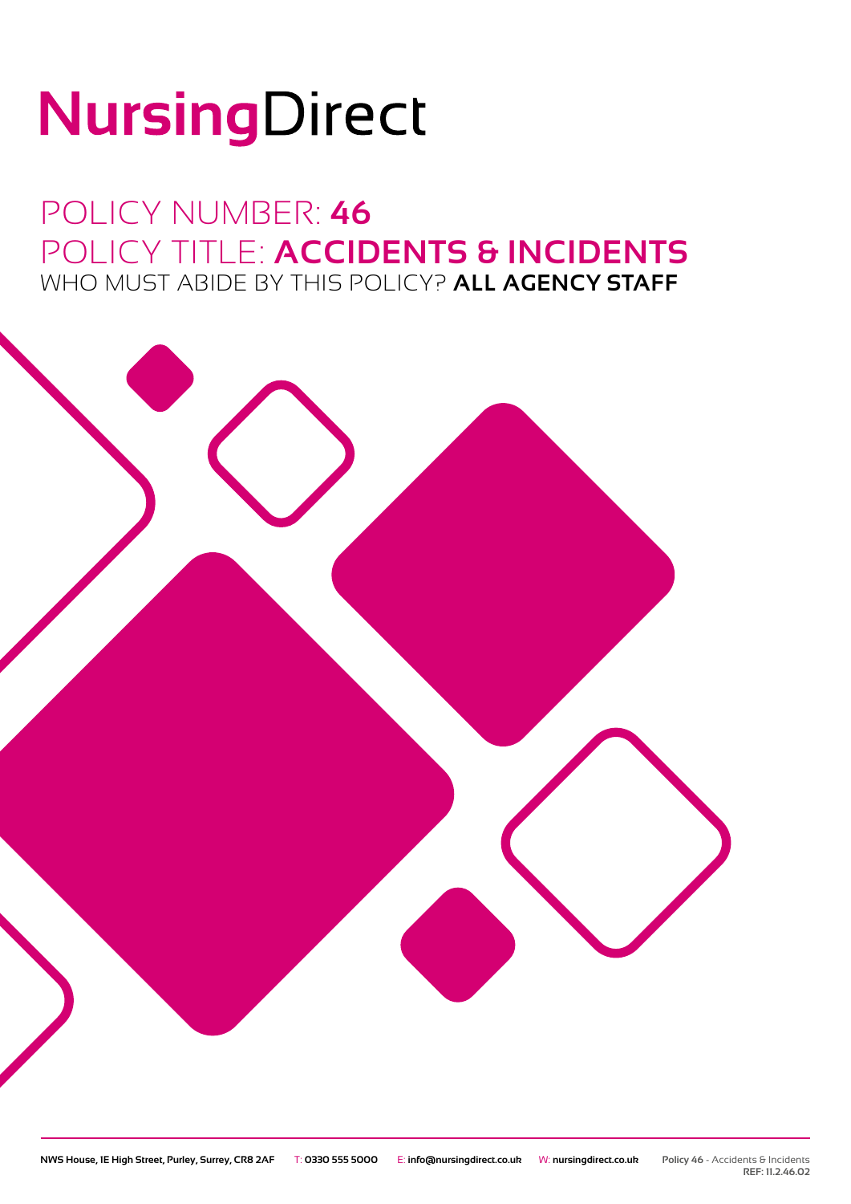# NursingDirect

### POLICY NUMBER: **46** POLICY TITLE: **ACCIDENTS & INCIDENTS** WHO MUST ABIDE BY THIS POLICY? **ALL AGENCY STAFF**